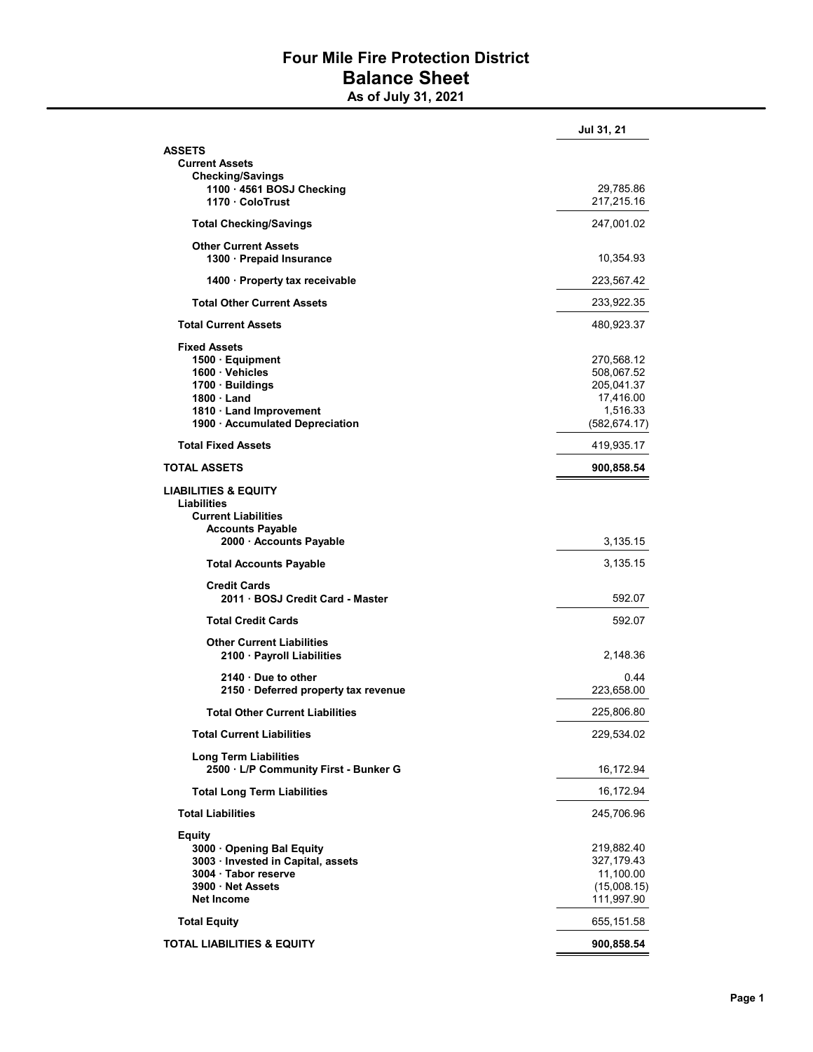## Four Mile Fire Protection District Balance Sheet

As of July 31, 2021

|                                                         | Jul 31, 21    |
|---------------------------------------------------------|---------------|
| ASSETS                                                  |               |
| <b>Current Assets</b>                                   |               |
| <b>Checking/Savings</b>                                 |               |
| 1100 · 4561 BOSJ Checking                               | 29,785.86     |
| 1170 ColoTrust                                          | 217,215.16    |
| <b>Total Checking/Savings</b>                           | 247,001.02    |
| <b>Other Current Assets</b>                             |               |
| 1300 · Prepaid Insurance                                | 10,354.93     |
| 1400 · Property tax receivable                          | 223,567.42    |
| <b>Total Other Current Assets</b>                       | 233,922.35    |
| <b>Total Current Assets</b>                             | 480,923.37    |
| <b>Fixed Assets</b>                                     |               |
| 1500 · Equipment                                        | 270,568.12    |
| 1600 · Vehicles                                         | 508,067.52    |
| 1700 · Buildings                                        | 205,041.37    |
| $1800 \cdot$ Land                                       | 17,416.00     |
| 1810 · Land Improvement                                 | 1,516.33      |
| 1900 · Accumulated Depreciation                         | (582, 674.17) |
| <b>Total Fixed Assets</b>                               | 419,935.17    |
| <b>TOTAL ASSETS</b>                                     | 900,858.54    |
| <b>LIABILITIES &amp; EQUITY</b>                         |               |
| Liabilities                                             |               |
| <b>Current Liabilities</b>                              |               |
| <b>Accounts Payable</b>                                 |               |
| 2000 · Accounts Payable                                 | 3,135.15      |
| <b>Total Accounts Payable</b>                           | 3,135.15      |
|                                                         |               |
| <b>Credit Cards</b><br>2011 · BOSJ Credit Card - Master | 592.07        |
| <b>Total Credit Cards</b>                               | 592.07        |
|                                                         |               |
| <b>Other Current Liabilities</b>                        |               |
| 2100 · Payroll Liabilities                              | 2,148.36      |
| $2140 \cdot$ Due to other                               | 0.44          |
| 2150 · Deferred property tax revenue                    | 223,658.00    |
| <b>Total Other Current Liabilities</b>                  | 225,806.80    |
| <b>Total Current Liabilities</b>                        | 229,534.02    |
| <b>Long Term Liabilities</b>                            |               |
| 2500 · L/P Community First - Bunker G                   | 16,172.94     |
| <b>Total Long Term Liabilities</b>                      | 16,172.94     |
| <b>Total Liabilities</b>                                | 245,706.96    |
| <b>Equity</b>                                           |               |
| 3000 Opening Bal Equity                                 | 219,882.40    |
| 3003 · Invested in Capital, assets                      | 327,179.43    |
| 3004 · Tabor reserve                                    | 11,100.00     |
| 3900 Net Assets                                         | (15,008.15)   |
| <b>Net Income</b>                                       | 111,997.90    |
| <b>Total Equity</b>                                     | 655,151.58    |
| <b>TOTAL LIABILITIES &amp; EQUITY</b>                   | 900,858.54    |
|                                                         |               |